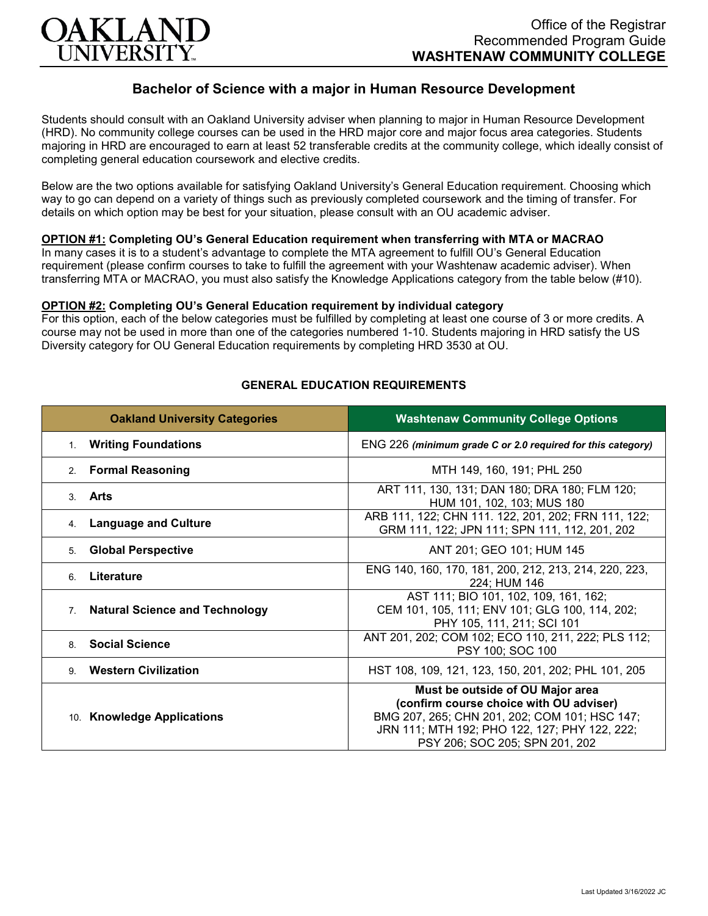

# **Bachelor of Science with a major in Human Resource Development**

Students should consult with an Oakland University adviser when planning to major in Human Resource Development (HRD). No community college courses can be used in the HRD major core and major focus area categories. Students majoring in HRD are encouraged to earn at least 52 transferable credits at the community college, which ideally consist of completing general education coursework and elective credits.

Below are the two options available for satisfying Oakland University's General Education requirement. Choosing which way to go can depend on a variety of things such as previously completed coursework and the timing of transfer. For details on which option may be best for your situation, please consult with an OU academic adviser.

### **OPTION #1: Completing OU's General Education requirement when transferring with MTA or MACRAO**

In many cases it is to a student's advantage to complete the MTA agreement to fulfill OU's General Education requirement (please confirm courses to take to fulfill the agreement with your Washtenaw academic adviser). When transferring MTA or MACRAO, you must also satisfy the Knowledge Applications category from the table below (#10).

#### **OPTION #2: Completing OU's General Education requirement by individual category**

For this option, each of the below categories must be fulfilled by completing at least one course of 3 or more credits. A course may not be used in more than one of the categories numbered 1-10. Students majoring in HRD satisfy the US Diversity category for OU General Education requirements by completing HRD 3530 at OU.

| <b>Oakland University Categories</b>                    | <b>Washtenaw Community College Options</b>                                                                                                                                                                      |
|---------------------------------------------------------|-----------------------------------------------------------------------------------------------------------------------------------------------------------------------------------------------------------------|
| <b>Writing Foundations</b><br>1 <sup>1</sup>            | ENG 226 (minimum grade C or 2.0 required for this category)                                                                                                                                                     |
| <b>Formal Reasoning</b><br>2.                           | MTH 149, 160, 191; PHL 250                                                                                                                                                                                      |
| Arts<br>$\mathcal{S}$                                   | ART 111, 130, 131; DAN 180; DRA 180; FLM 120;<br>HUM 101, 102, 103; MUS 180                                                                                                                                     |
| <b>Language and Culture</b><br>4.                       | ARB 111, 122; CHN 111. 122, 201, 202; FRN 111, 122;<br>GRM 111, 122; JPN 111; SPN 111, 112, 201, 202                                                                                                            |
| <b>Global Perspective</b><br>5.                         | ANT 201; GEO 101; HUM 145                                                                                                                                                                                       |
| Literature<br>6.                                        | ENG 140, 160, 170, 181, 200, 212, 213, 214, 220, 223,<br>224; HUM 146                                                                                                                                           |
| <b>Natural Science and Technology</b><br>7 <sup>1</sup> | AST 111; BIO 101, 102, 109, 161, 162;<br>CEM 101, 105, 111; ENV 101; GLG 100, 114, 202;<br>PHY 105, 111, 211; SCI 101                                                                                           |
| <b>Social Science</b><br>8                              | ANT 201, 202; COM 102; ECO 110, 211, 222; PLS 112;<br>PSY 100; SOC 100                                                                                                                                          |
| <b>Western Civilization</b><br>9                        | HST 108, 109, 121, 123, 150, 201, 202; PHL 101, 205                                                                                                                                                             |
| 10. Knowledge Applications                              | Must be outside of OU Major area<br>(confirm course choice with OU adviser)<br>BMG 207, 265; CHN 201, 202; COM 101; HSC 147;<br>JRN 111; MTH 192; PHO 122, 127; PHY 122, 222;<br>PSY 206; SOC 205; SPN 201, 202 |

#### **GENERAL EDUCATION REQUIREMENTS**